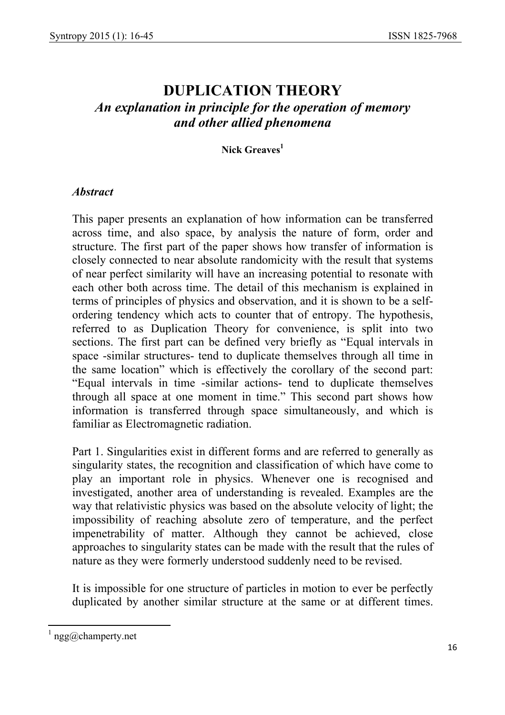# **DUPLICATION THEORY**  *An explanation in principle for the operation of memory and other allied phenomena*

**Nick Greaves<sup>1</sup>**

#### *Abstract*

This paper presents an explanation of how information can be transferred across time, and also space, by analysis the nature of form, order and structure. The first part of the paper shows how transfer of information is closely connected to near absolute randomicity with the result that systems of near perfect similarity will have an increasing potential to resonate with each other both across time. The detail of this mechanism is explained in terms of principles of physics and observation, and it is shown to be a selfordering tendency which acts to counter that of entropy. The hypothesis, referred to as Duplication Theory for convenience, is split into two sections. The first part can be defined very briefly as "Equal intervals in space -similar structures- tend to duplicate themselves through all time in the same location" which is effectively the corollary of the second part: "Equal intervals in time -similar actions- tend to duplicate themselves through all space at one moment in time." This second part shows how information is transferred through space simultaneously, and which is familiar as Electromagnetic radiation.

Part 1. Singularities exist in different forms and are referred to generally as singularity states, the recognition and classification of which have come to play an important role in physics. Whenever one is recognised and investigated, another area of understanding is revealed. Examples are the way that relativistic physics was based on the absolute velocity of light; the impossibility of reaching absolute zero of temperature, and the perfect impenetrability of matter. Although they cannot be achieved, close approaches to singularity states can be made with the result that the rules of nature as they were formerly understood suddenly need to be revised.

It is impossible for one structure of particles in motion to ever be perfectly duplicated by another similar structure at the same or at different times.

 $\overline{a}$ 

<sup>1</sup> ngg@champerty.net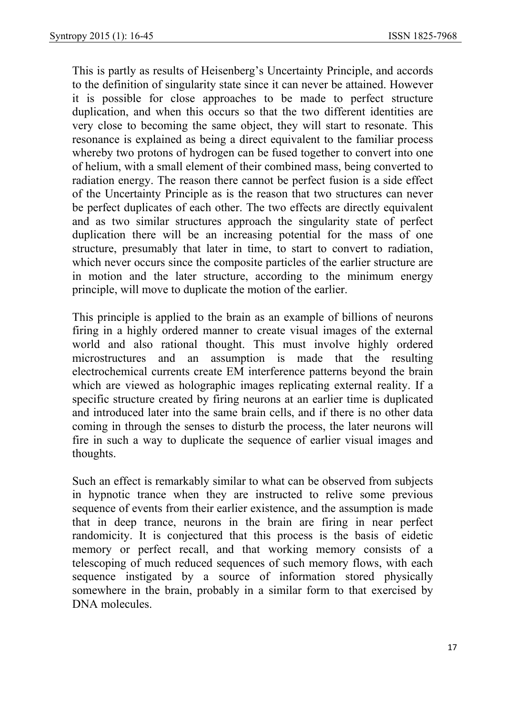This is partly as results of Heisenberg's Uncertainty Principle, and accords to the definition of singularity state since it can never be attained. However it is possible for close approaches to be made to perfect structure duplication, and when this occurs so that the two different identities are very close to becoming the same object, they will start to resonate. This resonance is explained as being a direct equivalent to the familiar process whereby two protons of hydrogen can be fused together to convert into one of helium, with a small element of their combined mass, being converted to radiation energy. The reason there cannot be perfect fusion is a side effect of the Uncertainty Principle as is the reason that two structures can never be perfect duplicates of each other. The two effects are directly equivalent and as two similar structures approach the singularity state of perfect duplication there will be an increasing potential for the mass of one structure, presumably that later in time, to start to convert to radiation, which never occurs since the composite particles of the earlier structure are in motion and the later structure, according to the minimum energy principle, will move to duplicate the motion of the earlier.

This principle is applied to the brain as an example of billions of neurons firing in a highly ordered manner to create visual images of the external world and also rational thought. This must involve highly ordered microstructures and an assumption is made that the resulting electrochemical currents create EM interference patterns beyond the brain which are viewed as holographic images replicating external reality. If a specific structure created by firing neurons at an earlier time is duplicated and introduced later into the same brain cells, and if there is no other data coming in through the senses to disturb the process, the later neurons will fire in such a way to duplicate the sequence of earlier visual images and thoughts.

Such an effect is remarkably similar to what can be observed from subjects in hypnotic trance when they are instructed to relive some previous sequence of events from their earlier existence, and the assumption is made that in deep trance, neurons in the brain are firing in near perfect randomicity. It is conjectured that this process is the basis of eidetic memory or perfect recall, and that working memory consists of a telescoping of much reduced sequences of such memory flows, with each sequence instigated by a source of information stored physically somewhere in the brain, probably in a similar form to that exercised by DNA molecules.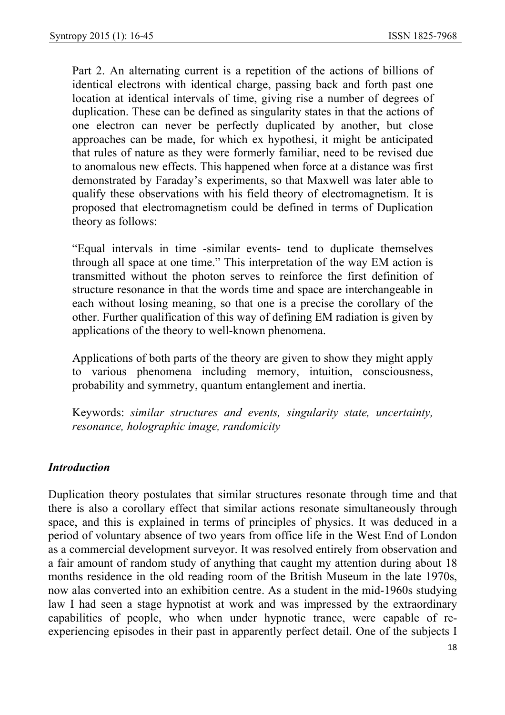Part 2. An alternating current is a repetition of the actions of billions of identical electrons with identical charge, passing back and forth past one location at identical intervals of time, giving rise a number of degrees of duplication. These can be defined as singularity states in that the actions of one electron can never be perfectly duplicated by another, but close approaches can be made, for which ex hypothesi, it might be anticipated that rules of nature as they were formerly familiar, need to be revised due to anomalous new effects. This happened when force at a distance was first demonstrated by Faraday's experiments, so that Maxwell was later able to qualify these observations with his field theory of electromagnetism. It is proposed that electromagnetism could be defined in terms of Duplication theory as follows:

"Equal intervals in time -similar events- tend to duplicate themselves through all space at one time." This interpretation of the way EM action is transmitted without the photon serves to reinforce the first definition of structure resonance in that the words time and space are interchangeable in each without losing meaning, so that one is a precise the corollary of the other. Further qualification of this way of defining EM radiation is given by applications of the theory to well-known phenomena.

Applications of both parts of the theory are given to show they might apply to various phenomena including memory, intuition, consciousness, probability and symmetry, quantum entanglement and inertia.

Keywords: *similar structures and events, singularity state, uncertainty, resonance, holographic image, randomicity*

### *Introduction*

Duplication theory postulates that similar structures resonate through time and that there is also a corollary effect that similar actions resonate simultaneously through space, and this is explained in terms of principles of physics. It was deduced in a period of voluntary absence of two years from office life in the West End of London as a commercial development surveyor. It was resolved entirely from observation and a fair amount of random study of anything that caught my attention during about 18 months residence in the old reading room of the British Museum in the late 1970s, now alas converted into an exhibition centre. As a student in the mid-1960s studying law I had seen a stage hypnotist at work and was impressed by the extraordinary capabilities of people, who when under hypnotic trance, were capable of reexperiencing episodes in their past in apparently perfect detail. One of the subjects I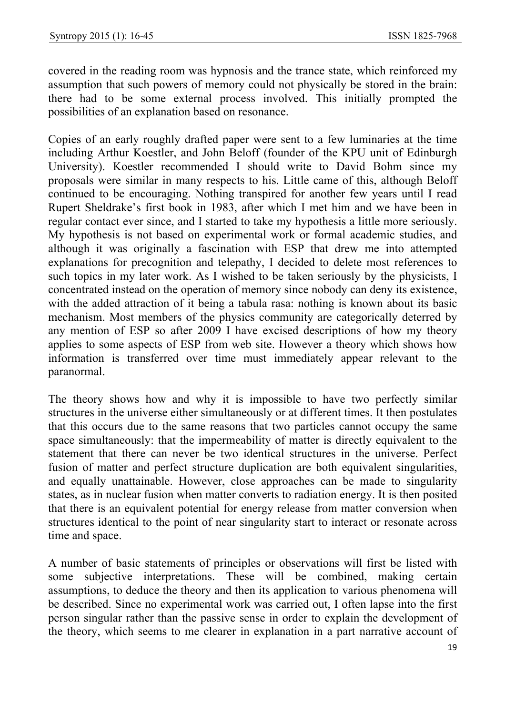covered in the reading room was hypnosis and the trance state, which reinforced my assumption that such powers of memory could not physically be stored in the brain: there had to be some external process involved. This initially prompted the possibilities of an explanation based on resonance.

Copies of an early roughly drafted paper were sent to a few luminaries at the time including Arthur Koestler, and John Beloff (founder of the KPU unit of Edinburgh University). Koestler recommended I should write to David Bohm since my proposals were similar in many respects to his. Little came of this, although Beloff continued to be encouraging. Nothing transpired for another few years until I read Rupert Sheldrake's first book in 1983, after which I met him and we have been in regular contact ever since, and I started to take my hypothesis a little more seriously. My hypothesis is not based on experimental work or formal academic studies, and although it was originally a fascination with ESP that drew me into attempted explanations for precognition and telepathy, I decided to delete most references to such topics in my later work. As I wished to be taken seriously by the physicists, I concentrated instead on the operation of memory since nobody can deny its existence, with the added attraction of it being a tabula rasa: nothing is known about its basic mechanism. Most members of the physics community are categorically deterred by any mention of ESP so after 2009 I have excised descriptions of how my theory applies to some aspects of ESP from web site. However a theory which shows how information is transferred over time must immediately appear relevant to the paranormal.

The theory shows how and why it is impossible to have two perfectly similar structures in the universe either simultaneously or at different times. It then postulates that this occurs due to the same reasons that two particles cannot occupy the same space simultaneously: that the impermeability of matter is directly equivalent to the statement that there can never be two identical structures in the universe. Perfect fusion of matter and perfect structure duplication are both equivalent singularities, and equally unattainable. However, close approaches can be made to singularity states, as in nuclear fusion when matter converts to radiation energy. It is then posited that there is an equivalent potential for energy release from matter conversion when structures identical to the point of near singularity start to interact or resonate across time and space.

A number of basic statements of principles or observations will first be listed with some subjective interpretations. These will be combined, making certain assumptions, to deduce the theory and then its application to various phenomena will be described. Since no experimental work was carried out, I often lapse into the first person singular rather than the passive sense in order to explain the development of the theory, which seems to me clearer in explanation in a part narrative account of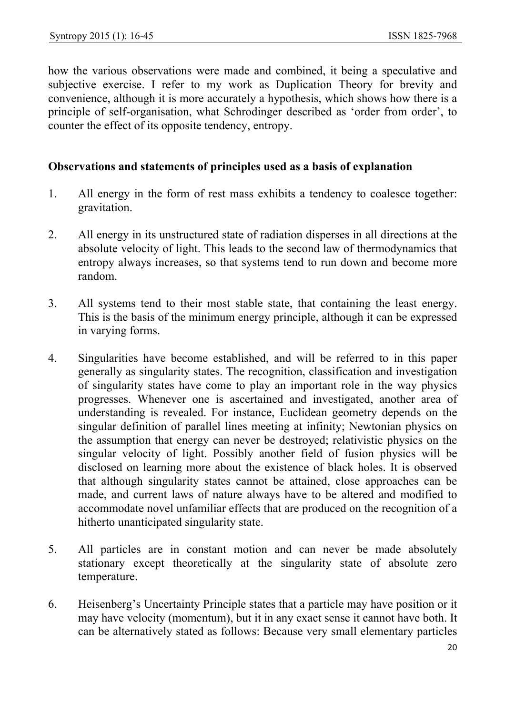how the various observations were made and combined, it being a speculative and subjective exercise. I refer to my work as Duplication Theory for brevity and convenience, although it is more accurately a hypothesis, which shows how there is a principle of self-organisation, what Schrodinger described as 'order from order', to counter the effect of its opposite tendency, entropy.

### **Observations and statements of principles used as a basis of explanation**

- 1. All energy in the form of rest mass exhibits a tendency to coalesce together: gravitation.
- 2. All energy in its unstructured state of radiation disperses in all directions at the absolute velocity of light. This leads to the second law of thermodynamics that entropy always increases, so that systems tend to run down and become more random.
- 3. All systems tend to their most stable state, that containing the least energy. This is the basis of the minimum energy principle, although it can be expressed in varying forms.
- 4. Singularities have become established, and will be referred to in this paper generally as singularity states. The recognition, classification and investigation of singularity states have come to play an important role in the way physics progresses. Whenever one is ascertained and investigated, another area of understanding is revealed. For instance, Euclidean geometry depends on the singular definition of parallel lines meeting at infinity; Newtonian physics on the assumption that energy can never be destroyed; relativistic physics on the singular velocity of light. Possibly another field of fusion physics will be disclosed on learning more about the existence of black holes. It is observed that although singularity states cannot be attained, close approaches can be made, and current laws of nature always have to be altered and modified to accommodate novel unfamiliar effects that are produced on the recognition of a hitherto unanticipated singularity state.
- 5. All particles are in constant motion and can never be made absolutely stationary except theoretically at the singularity state of absolute zero temperature.
- 6. Heisenberg's Uncertainty Principle states that a particle may have position or it may have velocity (momentum), but it in any exact sense it cannot have both. It can be alternatively stated as follows: Because very small elementary particles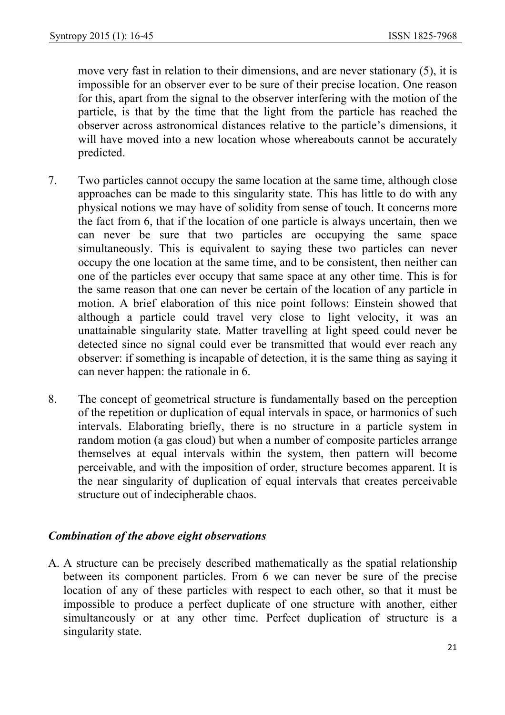move very fast in relation to their dimensions, and are never stationary (5), it is impossible for an observer ever to be sure of their precise location. One reason for this, apart from the signal to the observer interfering with the motion of the particle, is that by the time that the light from the particle has reached the observer across astronomical distances relative to the particle's dimensions, it will have moved into a new location whose whereabouts cannot be accurately predicted.

- 7. Two particles cannot occupy the same location at the same time, although close approaches can be made to this singularity state. This has little to do with any physical notions we may have of solidity from sense of touch. It concerns more the fact from 6, that if the location of one particle is always uncertain, then we can never be sure that two particles are occupying the same space simultaneously. This is equivalent to saying these two particles can never occupy the one location at the same time, and to be consistent, then neither can one of the particles ever occupy that same space at any other time. This is for the same reason that one can never be certain of the location of any particle in motion. A brief elaboration of this nice point follows: Einstein showed that although a particle could travel very close to light velocity, it was an unattainable singularity state. Matter travelling at light speed could never be detected since no signal could ever be transmitted that would ever reach any observer: if something is incapable of detection, it is the same thing as saying it can never happen: the rationale in 6.
- 8. The concept of geometrical structure is fundamentally based on the perception of the repetition or duplication of equal intervals in space, or harmonics of such intervals. Elaborating briefly, there is no structure in a particle system in random motion (a gas cloud) but when a number of composite particles arrange themselves at equal intervals within the system, then pattern will become perceivable, and with the imposition of order, structure becomes apparent. It is the near singularity of duplication of equal intervals that creates perceivable structure out of indecipherable chaos.

### *Combination of the above eight observations*

A. A structure can be precisely described mathematically as the spatial relationship between its component particles. From 6 we can never be sure of the precise location of any of these particles with respect to each other, so that it must be impossible to produce a perfect duplicate of one structure with another, either simultaneously or at any other time. Perfect duplication of structure is a singularity state.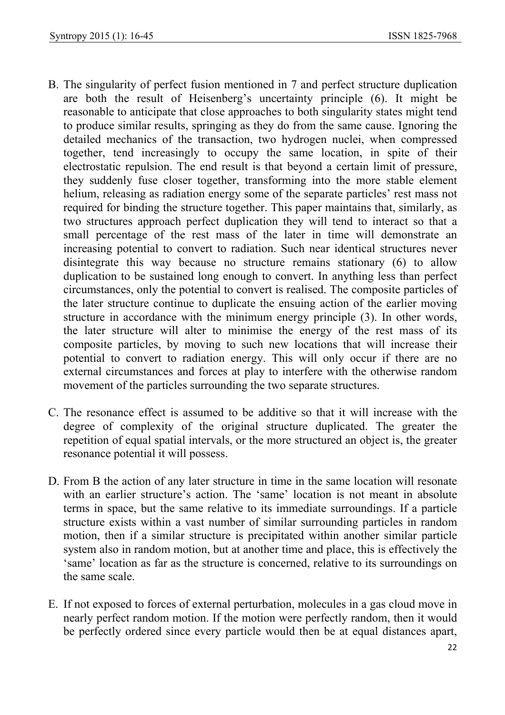- B. The singularity of perfect fusion mentioned in 7 and perfect structure duplication are both the result of Heisenberg's uncertainty principle (6). It might be reasonable to anticipate that close approaches to both singularity states might tend to produce similar results, springing as they do from the same cause. Ignoring the detailed mechanics of the transaction, two hydrogen nuclei, when compressed together, tend increasingly to occupy the same location, in spite of their electrostatic repulsion. The end result is that beyond a certain limit of pressure, they suddenly fuse closer together, transforming into the more stable element helium, releasing as radiation energy some of the separate particles' rest mass not required for binding the structure together. This paper maintains that, similarly, as two structures approach perfect duplication they will tend to interact so that a small percentage of the rest mass of the later in time will demonstrate an increasing potential to convert to radiation. Such near identical structures never disintegrate this way because no structure remains stationary (6) to allow duplication to be sustained long enough to convert. In anything less than perfect circumstances, only the potential to convert is realised. The composite particles of the later structure continue to duplicate the ensuing action of the earlier moving structure in accordance with the minimum energy principle (3). In other words, the later structure will alter to minimise the energy of the rest mass of its composite particles, by moving to such new locations that will increase their potential to convert to radiation energy. This will only occur if there are no external circumstances and forces at play to interfere with the otherwise random movement of the particles surrounding the two separate structures.
- C. The resonance effect is assumed to be additive so that it will increase with the degree of complexity of the original structure duplicated. The greater the repetition of equal spatial intervals, or the more structured an object is, the greater resonance potential it will possess.
- D. From B the action of any later structure in time in the same location will resonate with an earlier structure's action. The 'same' location is not meant in absolute terms in space, but the same relative to its immediate surroundings. If a particle structure exists within a vast number of similar surrounding particles in random motion, then if a similar structure is precipitated within another similar particle system also in random motion, but at another time and place, this is effectively the 'same' location as far as the structure is concerned, relative to its surroundings on the same scale.
- E. If not exposed to forces of external perturbation, molecules in a gas cloud move in nearly perfect random motion. If the motion were perfectly random, then it would be perfectly ordered since every particle would then be at equal distances apart,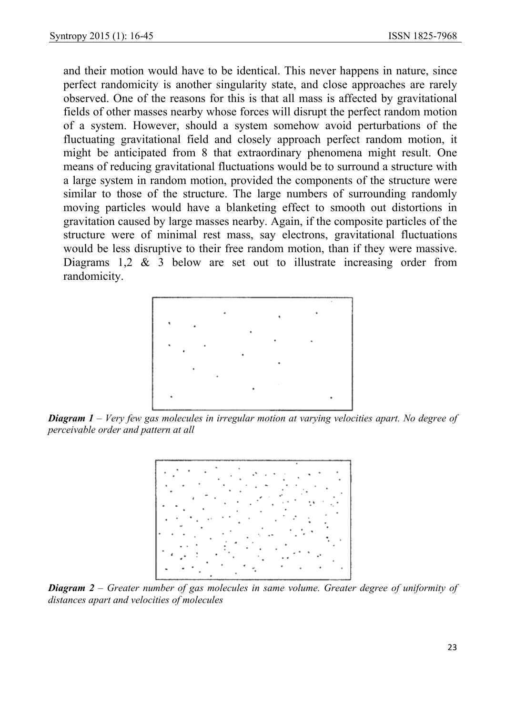and their motion would have to be identical. This never happens in nature, since perfect randomicity is another singularity state, and close approaches are rarely observed. One of the reasons for this is that all mass is affected by gravitational fields of other masses nearby whose forces will disrupt the perfect random motion of a system. However, should a system somehow avoid perturbations of the fluctuating gravitational field and closely approach perfect random motion, it might be anticipated from 8 that extraordinary phenomena might result. One means of reducing gravitational fluctuations would be to surround a structure with a large system in random motion, provided the components of the structure were similar to those of the structure. The large numbers of surrounding randomly moving particles would have a blanketing effect to smooth out distortions in gravitation caused by large masses nearby. Again, if the composite particles of the structure were of minimal rest mass, say electrons, gravitational fluctuations would be less disruptive to their free random motion, than if they were massive. Diagrams 1,2  $\&$  3 below are set out to illustrate increasing order from randomicity.



*Diagram 1 – Very few gas molecules in irregular motion at varying velocities apart. No degree of perceivable order and pattern at all* 



*Diagram 2 – Greater number of gas molecules in same volume. Greater degree of uniformity of distances apart and velocities of molecules*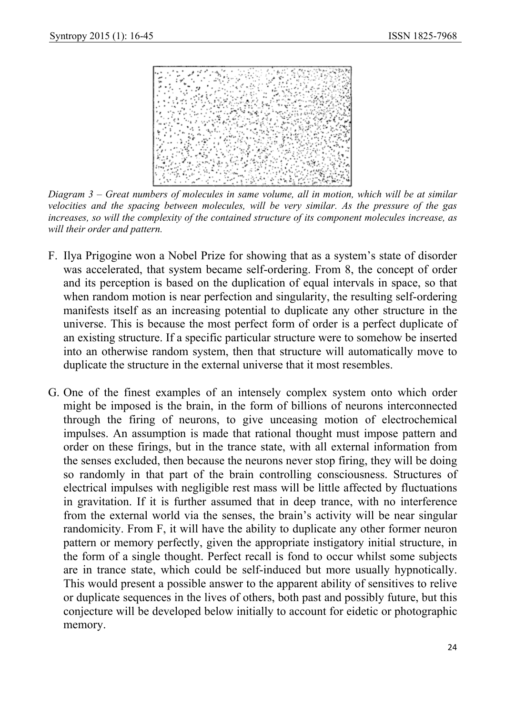

*Diagram 3 – Great numbers of molecules in same volume, all in motion, which will be at similar velocities and the spacing between molecules, will be very similar. As the pressure of the gas increases, so will the complexity of the contained structure of its component molecules increase, as will their order and pattern.* 

- F. Ilya Prigogine won a Nobel Prize for showing that as a system's state of disorder was accelerated, that system became self-ordering. From 8, the concept of order and its perception is based on the duplication of equal intervals in space, so that when random motion is near perfection and singularity, the resulting self-ordering manifests itself as an increasing potential to duplicate any other structure in the universe. This is because the most perfect form of order is a perfect duplicate of an existing structure. If a specific particular structure were to somehow be inserted into an otherwise random system, then that structure will automatically move to duplicate the structure in the external universe that it most resembles.
- G. One of the finest examples of an intensely complex system onto which order might be imposed is the brain, in the form of billions of neurons interconnected through the firing of neurons, to give unceasing motion of electrochemical impulses. An assumption is made that rational thought must impose pattern and order on these firings, but in the trance state, with all external information from the senses excluded, then because the neurons never stop firing, they will be doing so randomly in that part of the brain controlling consciousness. Structures of electrical impulses with negligible rest mass will be little affected by fluctuations in gravitation. If it is further assumed that in deep trance, with no interference from the external world via the senses, the brain's activity will be near singular randomicity. From F, it will have the ability to duplicate any other former neuron pattern or memory perfectly, given the appropriate instigatory initial structure, in the form of a single thought. Perfect recall is fond to occur whilst some subjects are in trance state, which could be self-induced but more usually hypnotically. This would present a possible answer to the apparent ability of sensitives to relive or duplicate sequences in the lives of others, both past and possibly future, but this conjecture will be developed below initially to account for eidetic or photographic memory.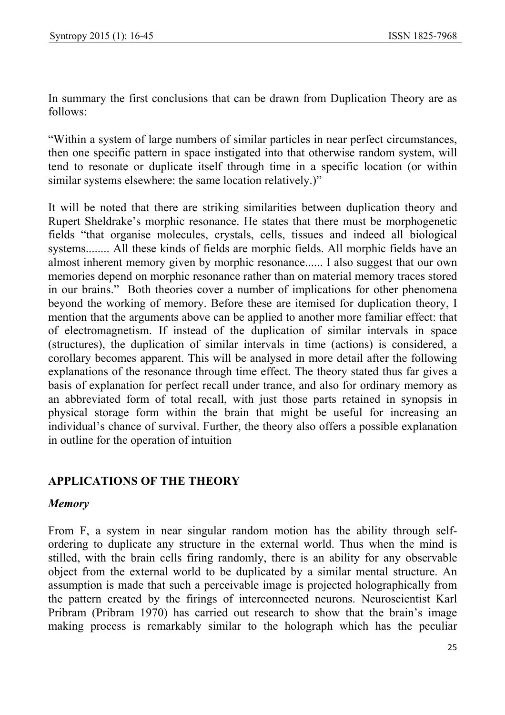In summary the first conclusions that can be drawn from Duplication Theory are as follows:

"Within a system of large numbers of similar particles in near perfect circumstances, then one specific pattern in space instigated into that otherwise random system, will tend to resonate or duplicate itself through time in a specific location (or within similar systems elsewhere: the same location relatively.)"

It will be noted that there are striking similarities between duplication theory and Rupert Sheldrake's morphic resonance. He states that there must be morphogenetic fields "that organise molecules, crystals, cells, tissues and indeed all biological systems........ All these kinds of fields are morphic fields. All morphic fields have an almost inherent memory given by morphic resonance...... I also suggest that our own memories depend on morphic resonance rather than on material memory traces stored in our brains." Both theories cover a number of implications for other phenomena beyond the working of memory. Before these are itemised for duplication theory, I mention that the arguments above can be applied to another more familiar effect: that of electromagnetism. If instead of the duplication of similar intervals in space (structures), the duplication of similar intervals in time (actions) is considered, a corollary becomes apparent. This will be analysed in more detail after the following explanations of the resonance through time effect. The theory stated thus far gives a basis of explanation for perfect recall under trance, and also for ordinary memory as an abbreviated form of total recall, with just those parts retained in synopsis in physical storage form within the brain that might be useful for increasing an individual's chance of survival. Further, the theory also offers a possible explanation in outline for the operation of intuition

## **APPLICATIONS OF THE THEORY**

### *Memory*

From F, a system in near singular random motion has the ability through selfordering to duplicate any structure in the external world. Thus when the mind is stilled, with the brain cells firing randomly, there is an ability for any observable object from the external world to be duplicated by a similar mental structure. An assumption is made that such a perceivable image is projected holographically from the pattern created by the firings of interconnected neurons. Neuroscientist Karl Pribram (Pribram 1970) has carried out research to show that the brain's image making process is remarkably similar to the holograph which has the peculiar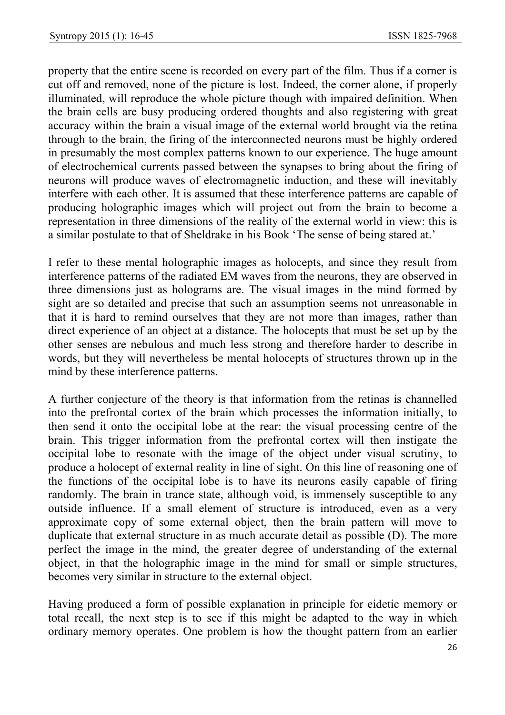property that the entire scene is recorded on every part of the film. Thus if a corner is cut off and removed, none of the picture is lost. Indeed, the corner alone, if properly illuminated, will reproduce the whole picture though with impaired definition. When the brain cells are busy producing ordered thoughts and also registering with great accuracy within the brain a visual image of the external world brought via the retina through to the brain, the firing of the interconnected neurons must be highly ordered in presumably the most complex patterns known to our experience. The huge amount of electrochemical currents passed between the synapses to bring about the firing of neurons will produce waves of electromagnetic induction, and these will inevitably interfere with each other. It is assumed that these interference patterns are capable of producing holographic images which will project out from the brain to become a representation in three dimensions of the reality of the external world in view: this is a similar postulate to that of Sheldrake in his Book 'The sense of being stared at.'

I refer to these mental holographic images as holocepts, and since they result from interference patterns of the radiated EM waves from the neurons, they are observed in three dimensions just as holograms are. The visual images in the mind formed by sight are so detailed and precise that such an assumption seems not unreasonable in that it is hard to remind ourselves that they are not more than images, rather than direct experience of an object at a distance. The holocepts that must be set up by the other senses are nebulous and much less strong and therefore harder to describe in words, but they will nevertheless be mental holocepts of structures thrown up in the mind by these interference patterns.

A further conjecture of the theory is that information from the retinas is channelled into the prefrontal cortex of the brain which processes the information initially, to then send it onto the occipital lobe at the rear: the visual processing centre of the brain. This trigger information from the prefrontal cortex will then instigate the occipital lobe to resonate with the image of the object under visual scrutiny, to produce a holocept of external reality in line of sight. On this line of reasoning one of the functions of the occipital lobe is to have its neurons easily capable of firing randomly. The brain in trance state, although void, is immensely susceptible to any outside influence. If a small element of structure is introduced, even as a very approximate copy of some external object, then the brain pattern will move to duplicate that external structure in as much accurate detail as possible (D). The more perfect the image in the mind, the greater degree of understanding of the external object, in that the holographic image in the mind for small or simple structures, becomes very similar in structure to the external object.

Having produced a form of possible explanation in principle for eidetic memory or total recall, the next step is to see if this might be adapted to the way in which ordinary memory operates. One problem is how the thought pattern from an earlier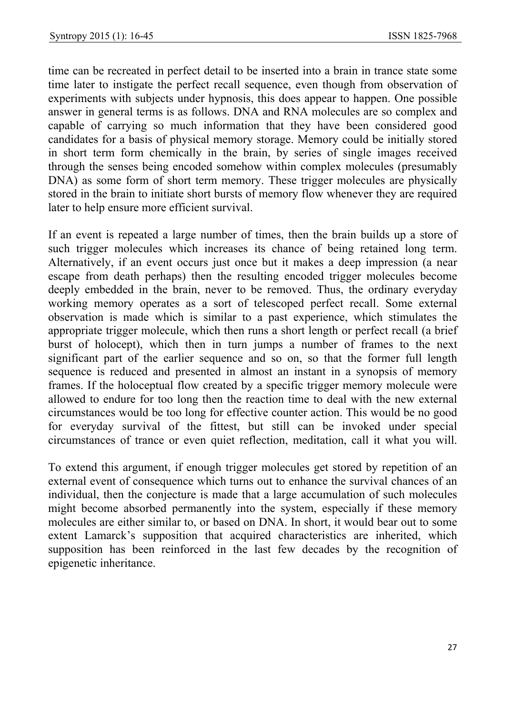time can be recreated in perfect detail to be inserted into a brain in trance state some time later to instigate the perfect recall sequence, even though from observation of experiments with subjects under hypnosis, this does appear to happen. One possible answer in general terms is as follows. DNA and RNA molecules are so complex and capable of carrying so much information that they have been considered good candidates for a basis of physical memory storage. Memory could be initially stored in short term form chemically in the brain, by series of single images received through the senses being encoded somehow within complex molecules (presumably DNA) as some form of short term memory. These trigger molecules are physically stored in the brain to initiate short bursts of memory flow whenever they are required later to help ensure more efficient survival.

If an event is repeated a large number of times, then the brain builds up a store of such trigger molecules which increases its chance of being retained long term. Alternatively, if an event occurs just once but it makes a deep impression (a near escape from death perhaps) then the resulting encoded trigger molecules become deeply embedded in the brain, never to be removed. Thus, the ordinary everyday working memory operates as a sort of telescoped perfect recall. Some external observation is made which is similar to a past experience, which stimulates the appropriate trigger molecule, which then runs a short length or perfect recall (a brief burst of holocept), which then in turn jumps a number of frames to the next significant part of the earlier sequence and so on, so that the former full length sequence is reduced and presented in almost an instant in a synopsis of memory frames. If the holoceptual flow created by a specific trigger memory molecule were allowed to endure for too long then the reaction time to deal with the new external circumstances would be too long for effective counter action. This would be no good for everyday survival of the fittest, but still can be invoked under special circumstances of trance or even quiet reflection, meditation, call it what you will.

To extend this argument, if enough trigger molecules get stored by repetition of an external event of consequence which turns out to enhance the survival chances of an individual, then the conjecture is made that a large accumulation of such molecules might become absorbed permanently into the system, especially if these memory molecules are either similar to, or based on DNA. In short, it would bear out to some extent Lamarck's supposition that acquired characteristics are inherited, which supposition has been reinforced in the last few decades by the recognition of epigenetic inheritance.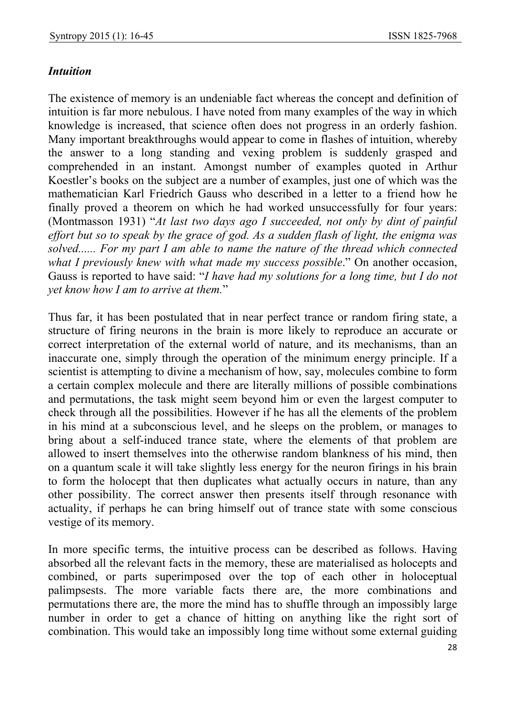### *Intuition*

The existence of memory is an undeniable fact whereas the concept and definition of intuition is far more nebulous. I have noted from many examples of the way in which knowledge is increased, that science often does not progress in an orderly fashion. Many important breakthroughs would appear to come in flashes of intuition, whereby the answer to a long standing and vexing problem is suddenly grasped and comprehended in an instant. Amongst number of examples quoted in Arthur Koestler's books on the subject are a number of examples, just one of which was the mathematician Karl Friedrich Gauss who described in a letter to a friend how he finally proved a theorem on which he had worked unsuccessfully for four years: (Montmasson 1931) "*At last two days ago I succeeded, not only by dint of painful effort but so to speak by the grace of god. As a sudden flash of light, the enigma was solved...... For my part I am able to name the nature of the thread which connected what I previously knew with what made my success possible*." On another occasion, Gauss is reported to have said: "*I have had my solutions for a long time, but I do not yet know how I am to arrive at them.*"

Thus far, it has been postulated that in near perfect trance or random firing state, a structure of firing neurons in the brain is more likely to reproduce an accurate or correct interpretation of the external world of nature, and its mechanisms, than an inaccurate one, simply through the operation of the minimum energy principle. If a scientist is attempting to divine a mechanism of how, say, molecules combine to form a certain complex molecule and there are literally millions of possible combinations and permutations, the task might seem beyond him or even the largest computer to check through all the possibilities. However if he has all the elements of the problem in his mind at a subconscious level, and he sleeps on the problem, or manages to bring about a self-induced trance state, where the elements of that problem are allowed to insert themselves into the otherwise random blankness of his mind, then on a quantum scale it will take slightly less energy for the neuron firings in his brain to form the holocept that then duplicates what actually occurs in nature, than any other possibility. The correct answer then presents itself through resonance with actuality, if perhaps he can bring himself out of trance state with some conscious vestige of its memory.

In more specific terms, the intuitive process can be described as follows. Having absorbed all the relevant facts in the memory, these are materialised as holocepts and combined, or parts superimposed over the top of each other in holoceptual palimpsests. The more variable facts there are, the more combinations and permutations there are, the more the mind has to shuffle through an impossibly large number in order to get a chance of hitting on anything like the right sort of combination. This would take an impossibly long time without some external guiding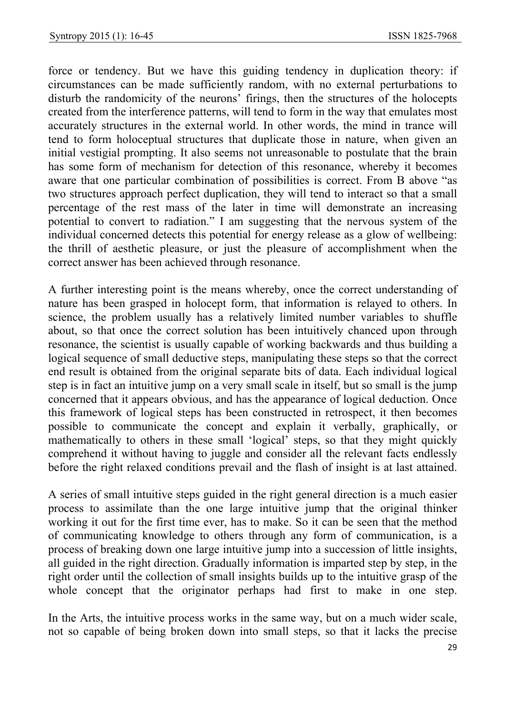force or tendency. But we have this guiding tendency in duplication theory: if circumstances can be made sufficiently random, with no external perturbations to disturb the randomicity of the neurons' firings, then the structures of the holocepts created from the interference patterns, will tend to form in the way that emulates most accurately structures in the external world. In other words, the mind in trance will tend to form holoceptual structures that duplicate those in nature, when given an initial vestigial prompting. It also seems not unreasonable to postulate that the brain has some form of mechanism for detection of this resonance, whereby it becomes aware that one particular combination of possibilities is correct. From B above "as two structures approach perfect duplication, they will tend to interact so that a small percentage of the rest mass of the later in time will demonstrate an increasing potential to convert to radiation." I am suggesting that the nervous system of the individual concerned detects this potential for energy release as a glow of wellbeing: the thrill of aesthetic pleasure, or just the pleasure of accomplishment when the correct answer has been achieved through resonance.

A further interesting point is the means whereby, once the correct understanding of nature has been grasped in holocept form, that information is relayed to others. In science, the problem usually has a relatively limited number variables to shuffle about, so that once the correct solution has been intuitively chanced upon through resonance, the scientist is usually capable of working backwards and thus building a logical sequence of small deductive steps, manipulating these steps so that the correct end result is obtained from the original separate bits of data. Each individual logical step is in fact an intuitive jump on a very small scale in itself, but so small is the jump concerned that it appears obvious, and has the appearance of logical deduction. Once this framework of logical steps has been constructed in retrospect, it then becomes possible to communicate the concept and explain it verbally, graphically, or mathematically to others in these small 'logical' steps, so that they might quickly comprehend it without having to juggle and consider all the relevant facts endlessly before the right relaxed conditions prevail and the flash of insight is at last attained.

A series of small intuitive steps guided in the right general direction is a much easier process to assimilate than the one large intuitive jump that the original thinker working it out for the first time ever, has to make. So it can be seen that the method of communicating knowledge to others through any form of communication, is a process of breaking down one large intuitive jump into a succession of little insights, all guided in the right direction. Gradually information is imparted step by step, in the right order until the collection of small insights builds up to the intuitive grasp of the whole concept that the originator perhaps had first to make in one step.

In the Arts, the intuitive process works in the same way, but on a much wider scale, not so capable of being broken down into small steps, so that it lacks the precise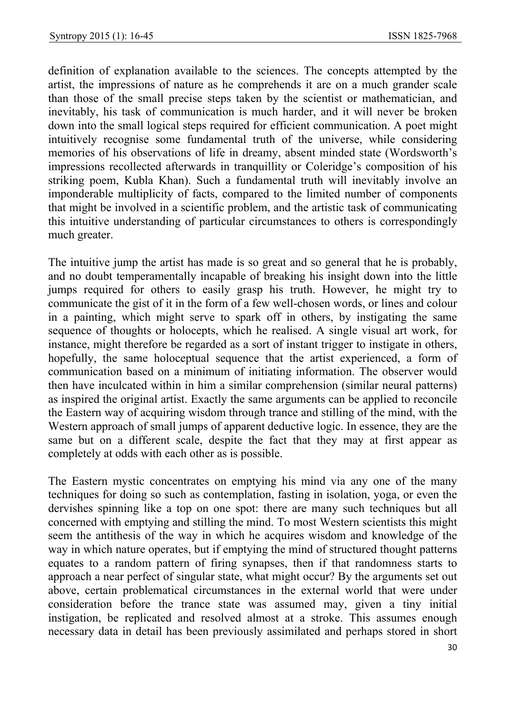definition of explanation available to the sciences. The concepts attempted by the artist, the impressions of nature as he comprehends it are on a much grander scale than those of the small precise steps taken by the scientist or mathematician, and inevitably, his task of communication is much harder, and it will never be broken down into the small logical steps required for efficient communication. A poet might intuitively recognise some fundamental truth of the universe, while considering memories of his observations of life in dreamy, absent minded state (Wordsworth's impressions recollected afterwards in tranquillity or Coleridge's composition of his striking poem, Kubla Khan). Such a fundamental truth will inevitably involve an imponderable multiplicity of facts, compared to the limited number of components that might be involved in a scientific problem, and the artistic task of communicating this intuitive understanding of particular circumstances to others is correspondingly much greater.

The intuitive jump the artist has made is so great and so general that he is probably, and no doubt temperamentally incapable of breaking his insight down into the little jumps required for others to easily grasp his truth. However, he might try to communicate the gist of it in the form of a few well-chosen words, or lines and colour in a painting, which might serve to spark off in others, by instigating the same sequence of thoughts or holocepts, which he realised. A single visual art work, for instance, might therefore be regarded as a sort of instant trigger to instigate in others, hopefully, the same holoceptual sequence that the artist experienced, a form of communication based on a minimum of initiating information. The observer would then have inculcated within in him a similar comprehension (similar neural patterns) as inspired the original artist. Exactly the same arguments can be applied to reconcile the Eastern way of acquiring wisdom through trance and stilling of the mind, with the Western approach of small jumps of apparent deductive logic. In essence, they are the same but on a different scale, despite the fact that they may at first appear as completely at odds with each other as is possible.

The Eastern mystic concentrates on emptying his mind via any one of the many techniques for doing so such as contemplation, fasting in isolation, yoga, or even the dervishes spinning like a top on one spot: there are many such techniques but all concerned with emptying and stilling the mind. To most Western scientists this might seem the antithesis of the way in which he acquires wisdom and knowledge of the way in which nature operates, but if emptying the mind of structured thought patterns equates to a random pattern of firing synapses, then if that randomness starts to approach a near perfect of singular state, what might occur? By the arguments set out above, certain problematical circumstances in the external world that were under consideration before the trance state was assumed may, given a tiny initial instigation, be replicated and resolved almost at a stroke. This assumes enough necessary data in detail has been previously assimilated and perhaps stored in short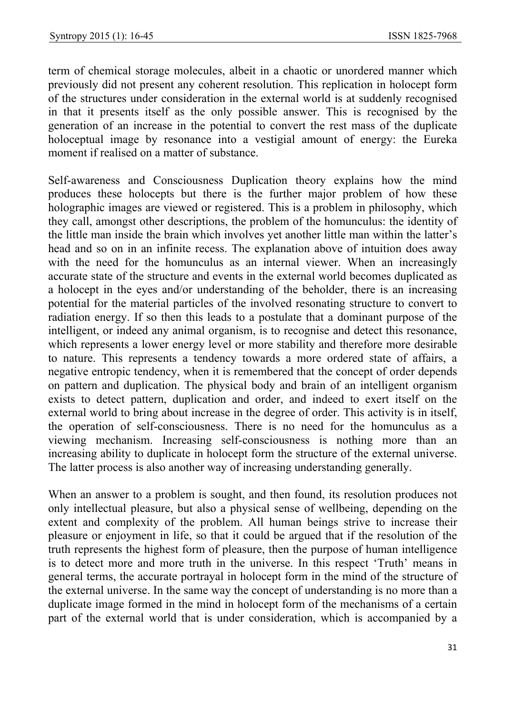term of chemical storage molecules, albeit in a chaotic or unordered manner which previously did not present any coherent resolution. This replication in holocept form of the structures under consideration in the external world is at suddenly recognised in that it presents itself as the only possible answer. This is recognised by the generation of an increase in the potential to convert the rest mass of the duplicate holoceptual image by resonance into a vestigial amount of energy: the Eureka moment if realised on a matter of substance.

Self-awareness and Consciousness Duplication theory explains how the mind produces these holocepts but there is the further major problem of how these holographic images are viewed or registered. This is a problem in philosophy, which they call, amongst other descriptions, the problem of the homunculus: the identity of the little man inside the brain which involves yet another little man within the latter's head and so on in an infinite recess. The explanation above of intuition does away with the need for the homunculus as an internal viewer. When an increasingly accurate state of the structure and events in the external world becomes duplicated as a holocept in the eyes and/or understanding of the beholder, there is an increasing potential for the material particles of the involved resonating structure to convert to radiation energy. If so then this leads to a postulate that a dominant purpose of the intelligent, or indeed any animal organism, is to recognise and detect this resonance, which represents a lower energy level or more stability and therefore more desirable to nature. This represents a tendency towards a more ordered state of affairs, a negative entropic tendency, when it is remembered that the concept of order depends on pattern and duplication. The physical body and brain of an intelligent organism exists to detect pattern, duplication and order, and indeed to exert itself on the external world to bring about increase in the degree of order. This activity is in itself, the operation of self-consciousness. There is no need for the homunculus as a viewing mechanism. Increasing self-consciousness is nothing more than an increasing ability to duplicate in holocept form the structure of the external universe. The latter process is also another way of increasing understanding generally.

When an answer to a problem is sought, and then found, its resolution produces not only intellectual pleasure, but also a physical sense of wellbeing, depending on the extent and complexity of the problem. All human beings strive to increase their pleasure or enjoyment in life, so that it could be argued that if the resolution of the truth represents the highest form of pleasure, then the purpose of human intelligence is to detect more and more truth in the universe. In this respect 'Truth' means in general terms, the accurate portrayal in holocept form in the mind of the structure of the external universe. In the same way the concept of understanding is no more than a duplicate image formed in the mind in holocept form of the mechanisms of a certain part of the external world that is under consideration, which is accompanied by a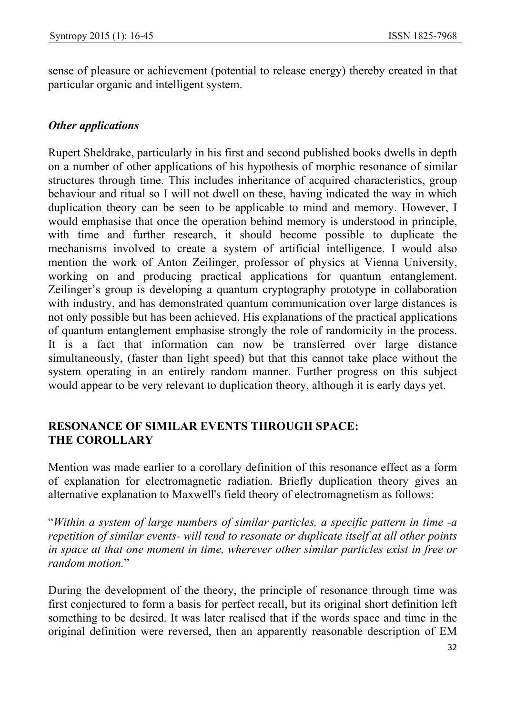sense of pleasure or achievement (potential to release energy) thereby created in that particular organic and intelligent system.

### *Other applications*

Rupert Sheldrake, particularly in his first and second published books dwells in depth on a number of other applications of his hypothesis of morphic resonance of similar structures through time. This includes inheritance of acquired characteristics, group behaviour and ritual so I will not dwell on these, having indicated the way in which duplication theory can be seen to be applicable to mind and memory. However, I would emphasise that once the operation behind memory is understood in principle, with time and further research, it should become possible to duplicate the mechanisms involved to create a system of artificial intelligence. I would also mention the work of Anton Zeilinger, professor of physics at Vienna University, working on and producing practical applications for quantum entanglement. Zeilinger's group is developing a quantum cryptography prototype in collaboration with industry, and has demonstrated quantum communication over large distances is not only possible but has been achieved. His explanations of the practical applications of quantum entanglement emphasise strongly the role of randomicity in the process. It is a fact that information can now be transferred over large distance simultaneously, (faster than light speed) but that this cannot take place without the system operating in an entirely random manner. Further progress on this subject would appear to be very relevant to duplication theory, although it is early days yet.

### **RESONANCE OF SIMILAR EVENTS THROUGH SPACE: THE COROLLARY**

Mention was made earlier to a corollary definition of this resonance effect as a form of explanation for electromagnetic radiation. Briefly duplication theory gives an alternative explanation to Maxwell's field theory of electromagnetism as follows:

"*Within a system of large numbers of similar particles, a specific pattern in time -a repetition of similar events- will tend to resonate or duplicate itself at all other points in space at that one moment in time, wherever other similar particles exist in free or random motion.*"

During the development of the theory, the principle of resonance through time was first conjectured to form a basis for perfect recall, but its original short definition left something to be desired. It was later realised that if the words space and time in the original definition were reversed, then an apparently reasonable description of EM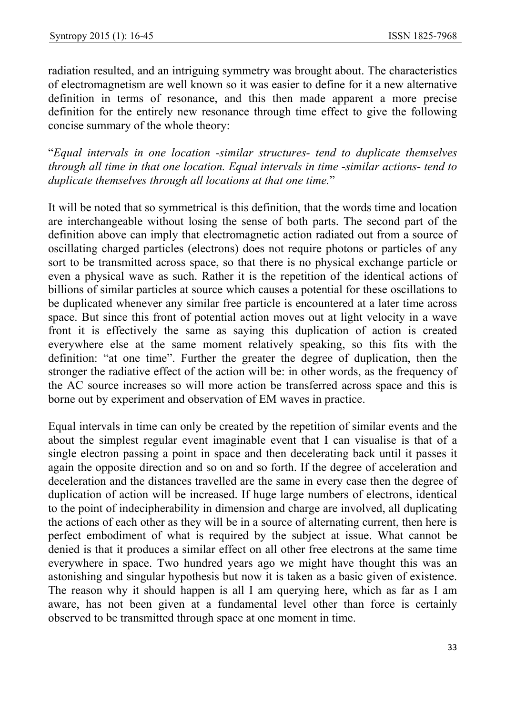radiation resulted, and an intriguing symmetry was brought about. The characteristics of electromagnetism are well known so it was easier to define for it a new alternative definition in terms of resonance, and this then made apparent a more precise definition for the entirely new resonance through time effect to give the following concise summary of the whole theory:

"*Equal intervals in one location -similar structures- tend to duplicate themselves through all time in that one location. Equal intervals in time -similar actions- tend to duplicate themselves through all locations at that one time.*"

It will be noted that so symmetrical is this definition, that the words time and location are interchangeable without losing the sense of both parts. The second part of the definition above can imply that electromagnetic action radiated out from a source of oscillating charged particles (electrons) does not require photons or particles of any sort to be transmitted across space, so that there is no physical exchange particle or even a physical wave as such. Rather it is the repetition of the identical actions of billions of similar particles at source which causes a potential for these oscillations to be duplicated whenever any similar free particle is encountered at a later time across space. But since this front of potential action moves out at light velocity in a wave front it is effectively the same as saying this duplication of action is created everywhere else at the same moment relatively speaking, so this fits with the definition: "at one time". Further the greater the degree of duplication, then the stronger the radiative effect of the action will be: in other words, as the frequency of the AC source increases so will more action be transferred across space and this is borne out by experiment and observation of EM waves in practice.

Equal intervals in time can only be created by the repetition of similar events and the about the simplest regular event imaginable event that I can visualise is that of a single electron passing a point in space and then decelerating back until it passes it again the opposite direction and so on and so forth. If the degree of acceleration and deceleration and the distances travelled are the same in every case then the degree of duplication of action will be increased. If huge large numbers of electrons, identical to the point of indecipherability in dimension and charge are involved, all duplicating the actions of each other as they will be in a source of alternating current, then here is perfect embodiment of what is required by the subject at issue. What cannot be denied is that it produces a similar effect on all other free electrons at the same time everywhere in space. Two hundred years ago we might have thought this was an astonishing and singular hypothesis but now it is taken as a basic given of existence. The reason why it should happen is all I am querying here, which as far as I am aware, has not been given at a fundamental level other than force is certainly observed to be transmitted through space at one moment in time.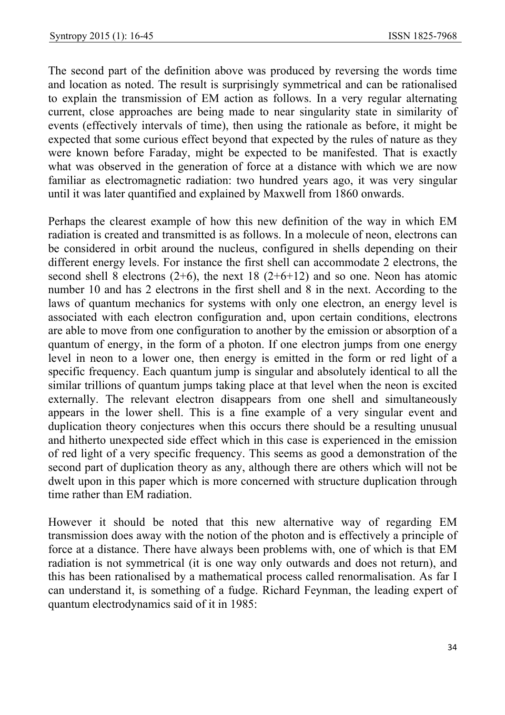The second part of the definition above was produced by reversing the words time and location as noted. The result is surprisingly symmetrical and can be rationalised to explain the transmission of EM action as follows. In a very regular alternating current, close approaches are being made to near singularity state in similarity of events (effectively intervals of time), then using the rationale as before, it might be expected that some curious effect beyond that expected by the rules of nature as they were known before Faraday, might be expected to be manifested. That is exactly what was observed in the generation of force at a distance with which we are now familiar as electromagnetic radiation: two hundred years ago, it was very singular until it was later quantified and explained by Maxwell from 1860 onwards.

Perhaps the clearest example of how this new definition of the way in which EM radiation is created and transmitted is as follows. In a molecule of neon, electrons can be considered in orbit around the nucleus, configured in shells depending on their different energy levels. For instance the first shell can accommodate 2 electrons, the second shell 8 electrons  $(2+6)$ , the next 18  $(2+6+12)$  and so one. Neon has atomic number 10 and has 2 electrons in the first shell and 8 in the next. According to the laws of quantum mechanics for systems with only one electron, an energy level is associated with each electron configuration and, upon certain conditions, electrons are able to move from one configuration to another by the emission or absorption of a quantum of energy, in the form of a photon. If one electron jumps from one energy level in neon to a lower one, then energy is emitted in the form or red light of a specific frequency. Each quantum jump is singular and absolutely identical to all the similar trillions of quantum jumps taking place at that level when the neon is excited externally. The relevant electron disappears from one shell and simultaneously appears in the lower shell. This is a fine example of a very singular event and duplication theory conjectures when this occurs there should be a resulting unusual and hitherto unexpected side effect which in this case is experienced in the emission of red light of a very specific frequency. This seems as good a demonstration of the second part of duplication theory as any, although there are others which will not be dwelt upon in this paper which is more concerned with structure duplication through time rather than EM radiation.

However it should be noted that this new alternative way of regarding EM transmission does away with the notion of the photon and is effectively a principle of force at a distance. There have always been problems with, one of which is that EM radiation is not symmetrical (it is one way only outwards and does not return), and this has been rationalised by a mathematical process called renormalisation. As far I can understand it, is something of a fudge. Richard Feynman, the leading expert of quantum electrodynamics said of it in 1985: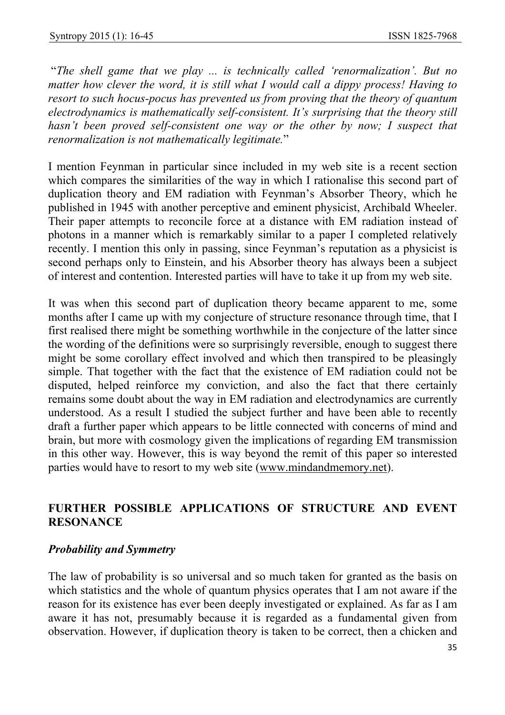"*The shell game that we play ... is technically called 'renormalization'. But no matter how clever the word, it is still what I would call a dippy process! Having to resort to such hocus-pocus has prevented us from proving that the theory of quantum electrodynamics is mathematically self-consistent. It's surprising that the theory still hasn't been proved self-consistent one way or the other by now; I suspect that renormalization is not mathematically legitimate.*"

I mention Feynman in particular since included in my web site is a recent section which compares the similarities of the way in which I rationalise this second part of duplication theory and EM radiation with Feynman's Absorber Theory, which he published in 1945 with another perceptive and eminent physicist, Archibald Wheeler. Their paper attempts to reconcile force at a distance with EM radiation instead of photons in a manner which is remarkably similar to a paper I completed relatively recently. I mention this only in passing, since Feynman's reputation as a physicist is second perhaps only to Einstein, and his Absorber theory has always been a subject of interest and contention. Interested parties will have to take it up from my web site.

It was when this second part of duplication theory became apparent to me, some months after I came up with my conjecture of structure resonance through time, that I first realised there might be something worthwhile in the conjecture of the latter since the wording of the definitions were so surprisingly reversible, enough to suggest there might be some corollary effect involved and which then transpired to be pleasingly simple. That together with the fact that the existence of EM radiation could not be disputed, helped reinforce my conviction, and also the fact that there certainly remains some doubt about the way in EM radiation and electrodynamics are currently understood. As a result I studied the subject further and have been able to recently draft a further paper which appears to be little connected with concerns of mind and brain, but more with cosmology given the implications of regarding EM transmission in this other way. However, this is way beyond the remit of this paper so interested parties would have to resort to my web site (www.mindandmemory.net).

## **FURTHER POSSIBLE APPLICATIONS OF STRUCTURE AND EVENT RESONANCE**

### *Probability and Symmetry*

The law of probability is so universal and so much taken for granted as the basis on which statistics and the whole of quantum physics operates that I am not aware if the reason for its existence has ever been deeply investigated or explained. As far as I am aware it has not, presumably because it is regarded as a fundamental given from observation. However, if duplication theory is taken to be correct, then a chicken and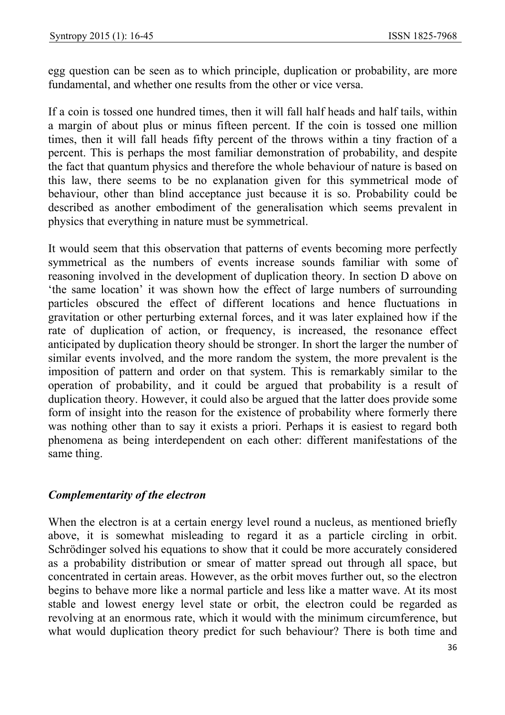egg question can be seen as to which principle, duplication or probability, are more fundamental, and whether one results from the other or vice versa.

If a coin is tossed one hundred times, then it will fall half heads and half tails, within a margin of about plus or minus fifteen percent. If the coin is tossed one million times, then it will fall heads fifty percent of the throws within a tiny fraction of a percent. This is perhaps the most familiar demonstration of probability, and despite the fact that quantum physics and therefore the whole behaviour of nature is based on this law, there seems to be no explanation given for this symmetrical mode of behaviour, other than blind acceptance just because it is so. Probability could be described as another embodiment of the generalisation which seems prevalent in physics that everything in nature must be symmetrical.

It would seem that this observation that patterns of events becoming more perfectly symmetrical as the numbers of events increase sounds familiar with some of reasoning involved in the development of duplication theory. In section D above on 'the same location' it was shown how the effect of large numbers of surrounding particles obscured the effect of different locations and hence fluctuations in gravitation or other perturbing external forces, and it was later explained how if the rate of duplication of action, or frequency, is increased, the resonance effect anticipated by duplication theory should be stronger. In short the larger the number of similar events involved, and the more random the system, the more prevalent is the imposition of pattern and order on that system. This is remarkably similar to the operation of probability, and it could be argued that probability is a result of duplication theory. However, it could also be argued that the latter does provide some form of insight into the reason for the existence of probability where formerly there was nothing other than to say it exists a priori. Perhaps it is easiest to regard both phenomena as being interdependent on each other: different manifestations of the same thing.

## *Complementarity of the electron*

When the electron is at a certain energy level round a nucleus, as mentioned briefly above, it is somewhat misleading to regard it as a particle circling in orbit. Schrödinger solved his equations to show that it could be more accurately considered as a probability distribution or smear of matter spread out through all space, but concentrated in certain areas. However, as the orbit moves further out, so the electron begins to behave more like a normal particle and less like a matter wave. At its most stable and lowest energy level state or orbit, the electron could be regarded as revolving at an enormous rate, which it would with the minimum circumference, but what would duplication theory predict for such behaviour? There is both time and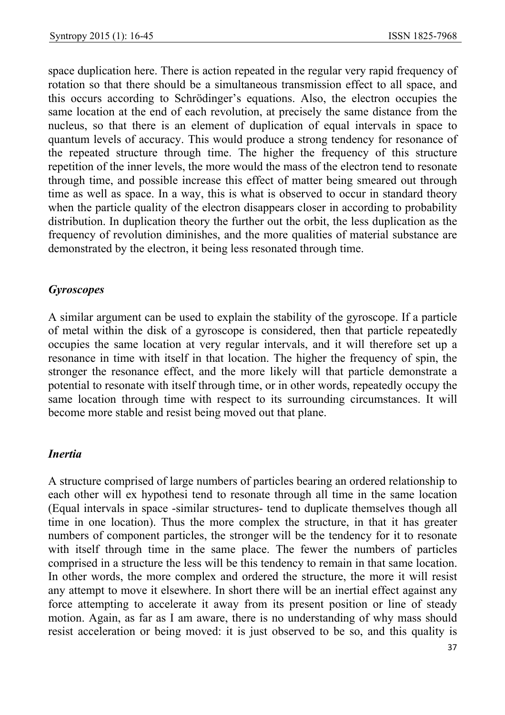space duplication here. There is action repeated in the regular very rapid frequency of rotation so that there should be a simultaneous transmission effect to all space, and this occurs according to Schrödinger's equations. Also, the electron occupies the same location at the end of each revolution, at precisely the same distance from the nucleus, so that there is an element of duplication of equal intervals in space to quantum levels of accuracy. This would produce a strong tendency for resonance of the repeated structure through time. The higher the frequency of this structure repetition of the inner levels, the more would the mass of the electron tend to resonate through time, and possible increase this effect of matter being smeared out through time as well as space. In a way, this is what is observed to occur in standard theory when the particle quality of the electron disappears closer in according to probability distribution. In duplication theory the further out the orbit, the less duplication as the frequency of revolution diminishes, and the more qualities of material substance are demonstrated by the electron, it being less resonated through time.

### *Gyroscopes*

A similar argument can be used to explain the stability of the gyroscope. If a particle of metal within the disk of a gyroscope is considered, then that particle repeatedly occupies the same location at very regular intervals, and it will therefore set up a resonance in time with itself in that location. The higher the frequency of spin, the stronger the resonance effect, and the more likely will that particle demonstrate a potential to resonate with itself through time, or in other words, repeatedly occupy the same location through time with respect to its surrounding circumstances. It will become more stable and resist being moved out that plane.

### *Inertia*

A structure comprised of large numbers of particles bearing an ordered relationship to each other will ex hypothesi tend to resonate through all time in the same location (Equal intervals in space -similar structures- tend to duplicate themselves though all time in one location). Thus the more complex the structure, in that it has greater numbers of component particles, the stronger will be the tendency for it to resonate with itself through time in the same place. The fewer the numbers of particles comprised in a structure the less will be this tendency to remain in that same location. In other words, the more complex and ordered the structure, the more it will resist any attempt to move it elsewhere. In short there will be an inertial effect against any force attempting to accelerate it away from its present position or line of steady motion. Again, as far as I am aware, there is no understanding of why mass should resist acceleration or being moved: it is just observed to be so, and this quality is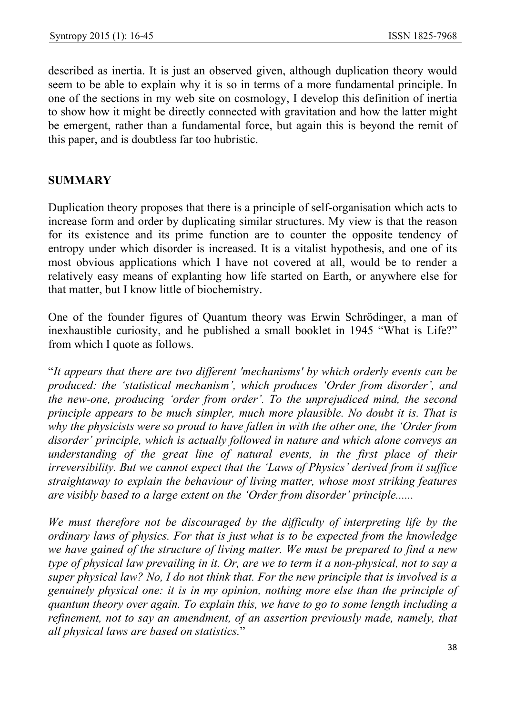described as inertia. It is just an observed given, although duplication theory would seem to be able to explain why it is so in terms of a more fundamental principle. In one of the sections in my web site on cosmology, I develop this definition of inertia to show how it might be directly connected with gravitation and how the latter might be emergent, rather than a fundamental force, but again this is beyond the remit of this paper, and is doubtless far too hubristic.

### **SUMMARY**

Duplication theory proposes that there is a principle of self-organisation which acts to increase form and order by duplicating similar structures. My view is that the reason for its existence and its prime function are to counter the opposite tendency of entropy under which disorder is increased. It is a vitalist hypothesis, and one of its most obvious applications which I have not covered at all, would be to render a relatively easy means of explanting how life started on Earth, or anywhere else for that matter, but I know little of biochemistry.

One of the founder figures of Quantum theory was Erwin Schrödinger, a man of inexhaustible curiosity, and he published a small booklet in 1945 "What is Life?" from which I quote as follows.

"*It appears that there are two different 'mechanisms' by which orderly events can be produced: the 'statistical mechanism', which produces 'Order from disorder', and the new-one, producing 'order from order'. To the unprejudiced mind, the second principle appears to be much simpler, much more plausible. No doubt it is. That is why the physicists were so proud to have fallen in with the other one, the 'Order from disorder' principle, which is actually followed in nature and which alone conveys an understanding of the great line of natural events, in the first place of their irreversibility. But we cannot expect that the 'Laws of Physics' derived from it suffice straightaway to explain the behaviour of living matter, whose most striking features are visibly based to a large extent on the 'Order from disorder' principle......* 

*We must therefore not be discouraged by the difficulty of interpreting life by the ordinary laws of physics. For that is just what is to be expected from the knowledge we have gained of the structure of living matter. We must be prepared to find a new type of physical law prevailing in it. Or, are we to term it a non-physical, not to say a super physical law? No, I do not think that. For the new principle that is involved is a genuinely physical one: it is in my opinion, nothing more else than the principle of quantum theory over again. To explain this, we have to go to some length including a refinement, not to say an amendment, of an assertion previously made, namely, that all physical laws are based on statistics.*"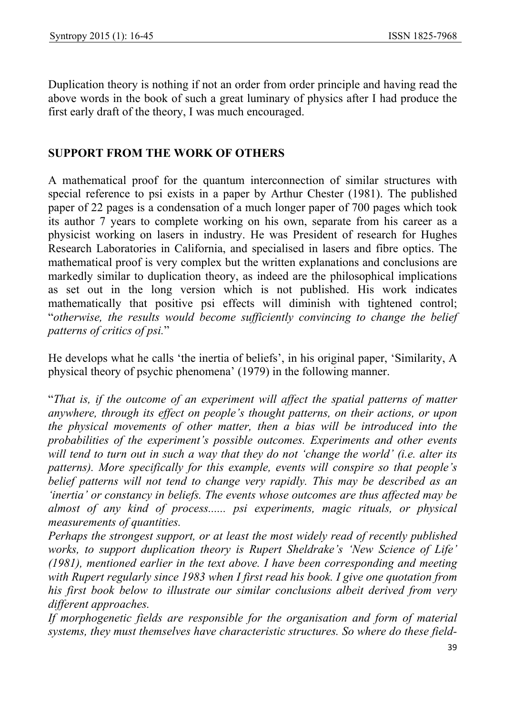Duplication theory is nothing if not an order from order principle and having read the above words in the book of such a great luminary of physics after I had produce the first early draft of the theory, I was much encouraged.

### **SUPPORT FROM THE WORK OF OTHERS**

A mathematical proof for the quantum interconnection of similar structures with special reference to psi exists in a paper by Arthur Chester (1981). The published paper of 22 pages is a condensation of a much longer paper of 700 pages which took its author 7 years to complete working on his own, separate from his career as a physicist working on lasers in industry. He was President of research for Hughes Research Laboratories in California, and specialised in lasers and fibre optics. The mathematical proof is very complex but the written explanations and conclusions are markedly similar to duplication theory, as indeed are the philosophical implications as set out in the long version which is not published. His work indicates mathematically that positive psi effects will diminish with tightened control; "*otherwise, the results would become sufficiently convincing to change the belief patterns of critics of psi.*"

He develops what he calls 'the inertia of beliefs', in his original paper, 'Similarity, A physical theory of psychic phenomena' (1979) in the following manner.

"*That is, if the outcome of an experiment will affect the spatial patterns of matter anywhere, through its effect on people's thought patterns, on their actions, or upon the physical movements of other matter, then a bias will be introduced into the probabilities of the experiment's possible outcomes. Experiments and other events will tend to turn out in such a way that they do not 'change the world' (i.e. alter its patterns). More specifically for this example, events will conspire so that people's belief patterns will not tend to change very rapidly. This may be described as an 'inertia' or constancy in beliefs. The events whose outcomes are thus affected may be almost of any kind of process...... psi experiments, magic rituals, or physical measurements of quantities.* 

*Perhaps the strongest support, or at least the most widely read of recently published works, to support duplication theory is Rupert Sheldrake's 'New Science of Life' (1981), mentioned earlier in the text above. I have been corresponding and meeting with Rupert regularly since 1983 when I first read his book. I give one quotation from his first book below to illustrate our similar conclusions albeit derived from very different approaches.* 

*If morphogenetic fields are responsible for the organisation and form of material systems, they must themselves have characteristic structures. So where do these field-*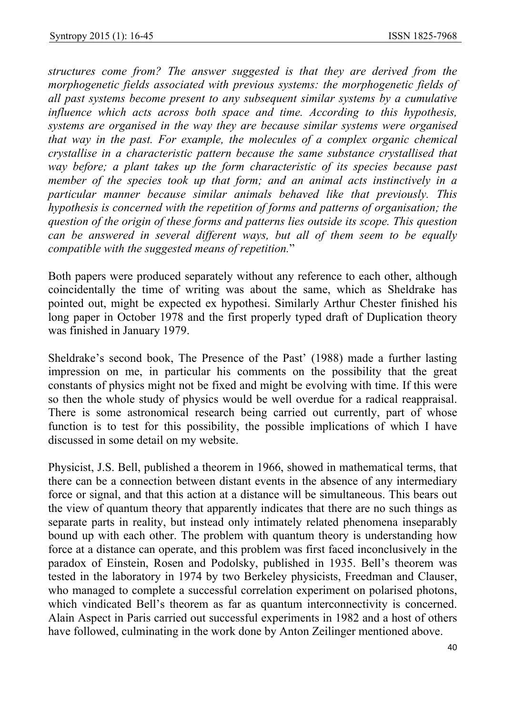*structures come from? The answer suggested is that they are derived from the morphogenetic fields associated with previous systems: the morphogenetic fields of all past systems become present to any subsequent similar systems by a cumulative influence which acts across both space and time. According to this hypothesis, systems are organised in the way they are because similar systems were organised that way in the past. For example, the molecules of a complex organic chemical crystallise in a characteristic pattern because the same substance crystallised that way before; a plant takes up the form characteristic of its species because past member of the species took up that form; and an animal acts instinctively in a particular manner because similar animals behaved like that previously. This hypothesis is concerned with the repetition of forms and patterns of organisation; the question of the origin of these forms and patterns lies outside its scope. This question can be answered in several different ways, but all of them seem to be equally compatible with the suggested means of repetition.*"

Both papers were produced separately without any reference to each other, although coincidentally the time of writing was about the same, which as Sheldrake has pointed out, might be expected ex hypothesi. Similarly Arthur Chester finished his long paper in October 1978 and the first properly typed draft of Duplication theory was finished in January 1979.

Sheldrake's second book, The Presence of the Past' (1988) made a further lasting impression on me, in particular his comments on the possibility that the great constants of physics might not be fixed and might be evolving with time. If this were so then the whole study of physics would be well overdue for a radical reappraisal. There is some astronomical research being carried out currently, part of whose function is to test for this possibility, the possible implications of which I have discussed in some detail on my website.

Physicist, J.S. Bell, published a theorem in 1966, showed in mathematical terms, that there can be a connection between distant events in the absence of any intermediary force or signal, and that this action at a distance will be simultaneous. This bears out the view of quantum theory that apparently indicates that there are no such things as separate parts in reality, but instead only intimately related phenomena inseparably bound up with each other. The problem with quantum theory is understanding how force at a distance can operate, and this problem was first faced inconclusively in the paradox of Einstein, Rosen and Podolsky, published in 1935. Bell's theorem was tested in the laboratory in 1974 by two Berkeley physicists, Freedman and Clauser, who managed to complete a successful correlation experiment on polarised photons, which vindicated Bell's theorem as far as quantum interconnectivity is concerned. Alain Aspect in Paris carried out successful experiments in 1982 and a host of others have followed, culminating in the work done by Anton Zeilinger mentioned above.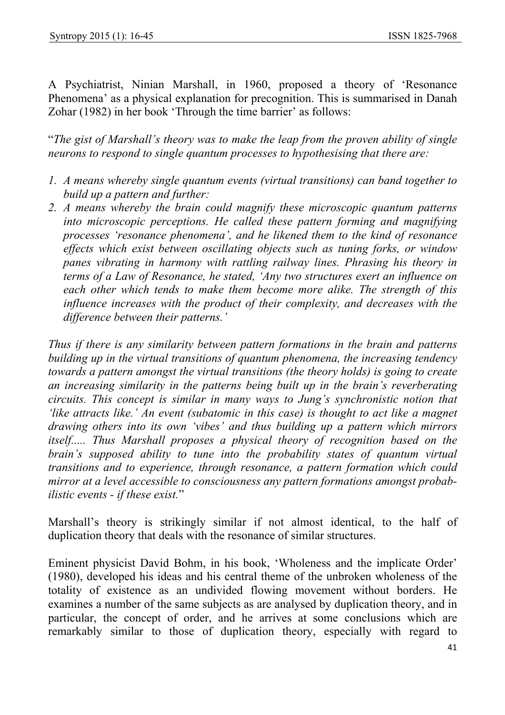A Psychiatrist, Ninian Marshall, in 1960, proposed a theory of 'Resonance Phenomena' as a physical explanation for precognition. This is summarised in Danah Zohar (1982) in her book 'Through the time barrier' as follows:

"*The gist of Marshall's theory was to make the leap from the proven ability of single neurons to respond to single quantum processes to hypothesising that there are:* 

- *1. A means whereby single quantum events (virtual transitions) can band together to build up a pattern and further:*
- *2. A means whereby the brain could magnify these microscopic quantum patterns into microscopic perceptions. He called these pattern forming and magnifying processes 'resonance phenomena', and he likened them to the kind of resonance effects which exist between oscillating objects such as tuning forks, or window panes vibrating in harmony with rattling railway lines. Phrasing his theory in terms of a Law of Resonance, he stated, 'Any two structures exert an influence on each other which tends to make them become more alike. The strength of this influence increases with the product of their complexity, and decreases with the difference between their patterns.'*

*Thus if there is any similarity between pattern formations in the brain and patterns building up in the virtual transitions of quantum phenomena, the increasing tendency towards a pattern amongst the virtual transitions (the theory holds) is going to create an increasing similarity in the patterns being built up in the brain's reverberating circuits. This concept is similar in many ways to Jung's synchronistic notion that 'like attracts like.' An event (subatomic in this case) is thought to act like a magnet drawing others into its own 'vibes' and thus building up a pattern which mirrors*  itself..... Thus Marshall proposes a physical theory of recognition based on the *brain's supposed ability to tune into the probability states of quantum virtual transitions and to experience, through resonance, a pattern formation which could mirror at a level accessible to consciousness any pattern formations amongst probabilistic events - if these exist.*"

Marshall's theory is strikingly similar if not almost identical, to the half of duplication theory that deals with the resonance of similar structures.

Eminent physicist David Bohm, in his book, 'Wholeness and the implicate Order' (1980), developed his ideas and his central theme of the unbroken wholeness of the totality of existence as an undivided flowing movement without borders. He examines a number of the same subjects as are analysed by duplication theory, and in particular, the concept of order, and he arrives at some conclusions which are remarkably similar to those of duplication theory, especially with regard to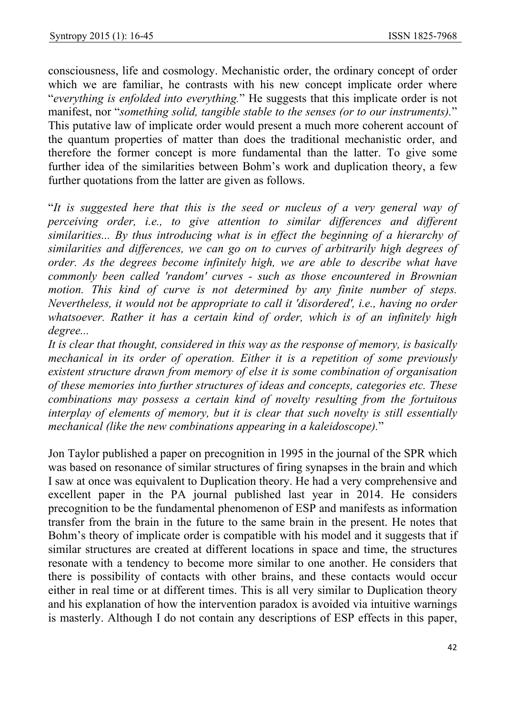consciousness, life and cosmology. Mechanistic order, the ordinary concept of order which we are familiar, he contrasts with his new concept implicate order where "*everything is enfolded into everything.*" He suggests that this implicate order is not manifest, nor "*something solid, tangible stable to the senses (or to our instruments).*" This putative law of implicate order would present a much more coherent account of the quantum properties of matter than does the traditional mechanistic order, and therefore the former concept is more fundamental than the latter. To give some further idea of the similarities between Bohm's work and duplication theory, a few further quotations from the latter are given as follows.

"*It is suggested here that this is the seed or nucleus of a very general way of perceiving order, i.e., to give attention to similar differences and different similarities... By thus introducing what is in effect the beginning of a hierarchy of similarities and differences, we can go on to curves of arbitrarily high degrees of order. As the degrees become infinitely high, we are able to describe what have commonly been called 'random' curves - such as those encountered in Brownian motion. This kind of curve is not determined by any finite number of steps. Nevertheless, it would not be appropriate to call it 'disordered', i.e., having no order whatsoever. Rather it has a certain kind of order, which is of an infinitely high degree...* 

*It is clear that thought, considered in this way as the response of memory, is basically mechanical in its order of operation. Either it is a repetition of some previously existent structure drawn from memory of else it is some combination of organisation of these memories into further structures of ideas and concepts, categories etc. These combinations may possess a certain kind of novelty resulting from the fortuitous interplay of elements of memory, but it is clear that such novelty is still essentially mechanical (like the new combinations appearing in a kaleidoscope).*"

Jon Taylor published a paper on precognition in 1995 in the journal of the SPR which was based on resonance of similar structures of firing synapses in the brain and which I saw at once was equivalent to Duplication theory. He had a very comprehensive and excellent paper in the PA journal published last year in 2014. He considers precognition to be the fundamental phenomenon of ESP and manifests as information transfer from the brain in the future to the same brain in the present. He notes that Bohm's theory of implicate order is compatible with his model and it suggests that if similar structures are created at different locations in space and time, the structures resonate with a tendency to become more similar to one another. He considers that there is possibility of contacts with other brains, and these contacts would occur either in real time or at different times. This is all very similar to Duplication theory and his explanation of how the intervention paradox is avoided via intuitive warnings is masterly. Although I do not contain any descriptions of ESP effects in this paper,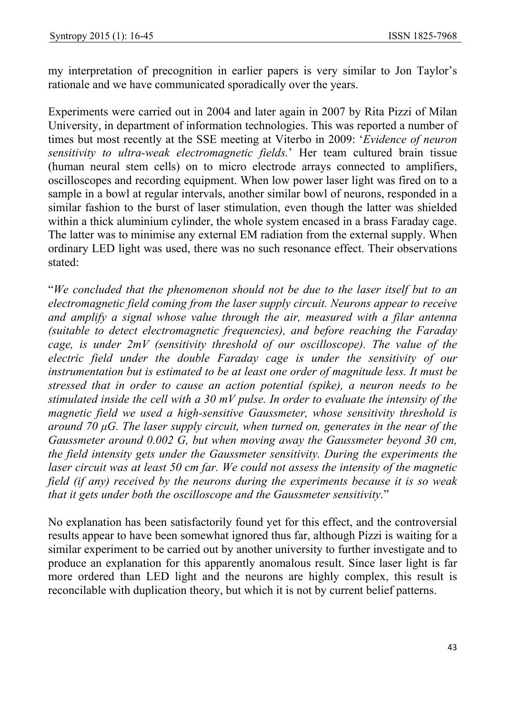my interpretation of precognition in earlier papers is very similar to Jon Taylor's rationale and we have communicated sporadically over the years.

Experiments were carried out in 2004 and later again in 2007 by Rita Pizzi of Milan University, in department of information technologies. This was reported a number of times but most recently at the SSE meeting at Viterbo in 2009: '*Evidence of neuron sensitivity to ultra-weak electromagnetic fields.*' Her team cultured brain tissue (human neural stem cells) on to micro electrode arrays connected to amplifiers, oscilloscopes and recording equipment. When low power laser light was fired on to a sample in a bowl at regular intervals, another similar bowl of neurons, responded in a similar fashion to the burst of laser stimulation, even though the latter was shielded within a thick aluminium cylinder, the whole system encased in a brass Faraday cage. The latter was to minimise any external EM radiation from the external supply. When ordinary LED light was used, there was no such resonance effect. Their observations stated:

"*We concluded that the phenomenon should not be due to the laser itself but to an electromagnetic field coming from the laser supply circuit. Neurons appear to receive and amplify a signal whose value through the air, measured with a filar antenna (suitable to detect electromagnetic frequencies), and before reaching the Faraday cage, is under 2mV (sensitivity threshold of our oscilloscope). The value of the electric field under the double Faraday cage is under the sensitivity of our instrumentation but is estimated to be at least one order of magnitude less. It must be stressed that in order to cause an action potential (spike), a neuron needs to be stimulated inside the cell with a 30 mV pulse. In order to evaluate the intensity of the magnetic field we used a high-sensitive Gaussmeter, whose sensitivity threshold is around 70 µG. The laser supply circuit, when turned on, generates in the near of the Gaussmeter around 0.002 G, but when moving away the Gaussmeter beyond 30 cm, the field intensity gets under the Gaussmeter sensitivity. During the experiments the laser circuit was at least 50 cm far. We could not assess the intensity of the magnetic field (if any) received by the neurons during the experiments because it is so weak that it gets under both the oscilloscope and the Gaussmeter sensitivity.*"

No explanation has been satisfactorily found yet for this effect, and the controversial results appear to have been somewhat ignored thus far, although Pizzi is waiting for a similar experiment to be carried out by another university to further investigate and to produce an explanation for this apparently anomalous result. Since laser light is far more ordered than LED light and the neurons are highly complex, this result is reconcilable with duplication theory, but which it is not by current belief patterns.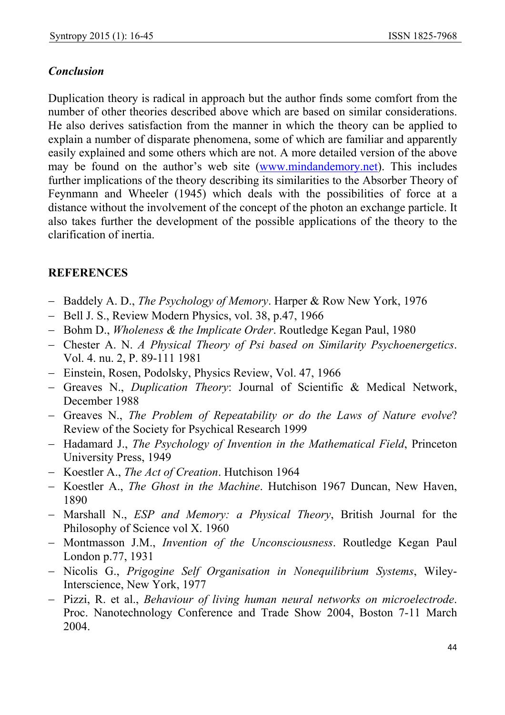# *Conclusion*

Duplication theory is radical in approach but the author finds some comfort from the number of other theories described above which are based on similar considerations. He also derives satisfaction from the manner in which the theory can be applied to explain a number of disparate phenomena, some of which are familiar and apparently easily explained and some others which are not. A more detailed version of the above may be found on the author's web site (www.mindandemory.net). This includes further implications of the theory describing its similarities to the Absorber Theory of Feynmann and Wheeler (1945) which deals with the possibilities of force at a distance without the involvement of the concept of the photon an exchange particle. It also takes further the development of the possible applications of the theory to the clarification of inertia.

# **REFERENCES**

- − Baddely A. D., *The Psychology of Memory*. Harper & Row New York, 1976
- − Bell J. S., Review Modern Physics, vol. 38, p.47, 1966
- − Bohm D., *Wholeness & the Implicate Order*. Routledge Kegan Paul, 1980
- − Chester A. N. *A Physical Theory of Psi based on Similarity Psychoenergetics*. Vol. 4. nu. 2, P. 89-111 1981
- − Einstein, Rosen, Podolsky, Physics Review, Vol. 47, 1966
- − Greaves N., *Duplication Theory*: Journal of Scientific & Medical Network, December 1988
- − Greaves N., *The Problem of Repeatability or do the Laws of Nature evolve*? Review of the Society for Psychical Research 1999
- − Hadamard J., *The Psychology of Invention in the Mathematical Field*, Princeton University Press, 1949
- − Koestler A., *The Act of Creation*. Hutchison 1964
- − Koestler A., *The Ghost in the Machine*. Hutchison 1967 Duncan, New Haven, 1890
- − Marshall N., *ESP and Memory: a Physical Theory*, British Journal for the Philosophy of Science vol X. 1960
- − Montmasson J.M., *Invention of the Unconsciousness*. Routledge Kegan Paul London p.77, 1931
- − Nicolis G., *Prigogine Self Organisation in Nonequilibrium Systems*, Wiley-Interscience, New York, 1977
- − Pizzi, R. et al., *Behaviour of living human neural networks on microelectrode*. Proc. Nanotechnology Conference and Trade Show 2004, Boston 7-11 March 2004.